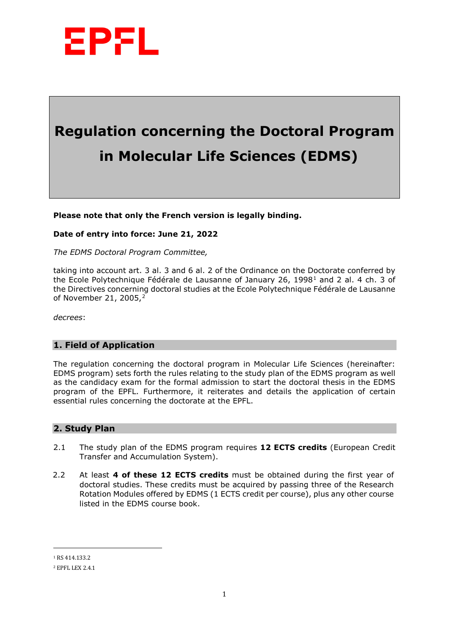

# **Regulation concerning the Doctoral Program in Molecular Life Sciences (EDMS)**

**Please note that only the French version is legally binding.**

#### **Date of entry into force: June 21, 2022**

*The EDMS Doctoral Program Committee,*

taking into account art. 3 al. 3 and 6 al. 2 of the Ordinance on the Doctorate conferred by the Ecole Polytechnique Fédérale de Lausanne of January 26, [1](#page-0-0)998<sup>1</sup> and 2 al. 4 ch. 3 of the Directives concerning doctoral studies at the Ecole Polytechnique Fédérale de Lausanne of November 21, 2005,[2](#page-0-1)

*decrees*:

### **1. Field of Application**

The regulation concerning the doctoral program in Molecular Life Sciences (hereinafter: EDMS program) sets forth the rules relating to the study plan of the EDMS program as well as the candidacy exam for the formal admission to start the doctoral thesis in the EDMS program of the EPFL. Furthermore, it reiterates and details the application of certain essential rules concerning the doctorate at the EPFL.

### **2. Study Plan**

- 2.1 The study plan of the EDMS program requires **12 ECTS credits** (European Credit Transfer and Accumulation System).
- 2.2 At least **4 of these 12 ECTS credits** must be obtained during the first year of doctoral studies. These credits must be acquired by passing three of the Research Rotation Modules offered by EDMS (1 ECTS credit per course), plus any other course listed in the EDMS course book.

 $\overline{a}$ 

<span id="page-0-0"></span><sup>1</sup> RS 414.133.2

<span id="page-0-1"></span><sup>2</sup> EPFL LEX 2.4.1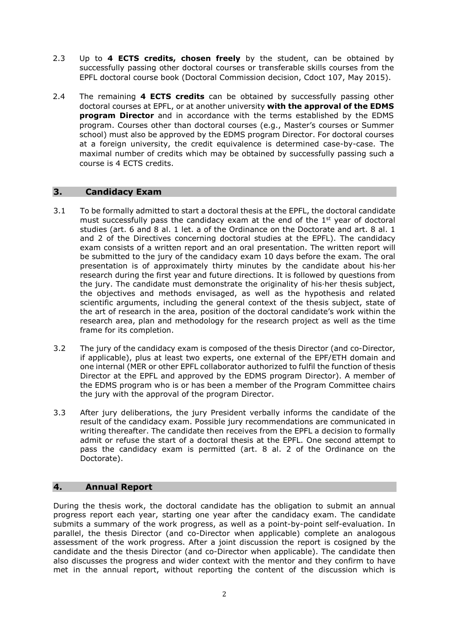- 2.3 Up to **4 ECTS credits, chosen freely** by the student, can be obtained by successfully passing other doctoral courses or transferable skills courses from the EPFL doctoral course book (Doctoral Commission decision, Cdoct 107, May 2015).
- 2.4 The remaining **4 ECTS credits** can be obtained by successfully passing other doctoral courses at EPFL, or at another university **with the approval of the EDMS program Director** and in accordance with the terms established by the EDMS program. Courses other than doctoral courses (e.g., Master's courses or Summer school) must also be approved by the EDMS program Director. For doctoral courses at a foreign university, the credit equivalence is determined case-by-case. The maximal number of credits which may be obtained by successfully passing such a course is 4 ECTS credits.

### **3. Candidacy Exam**

- 3.1 To be formally admitted to start a doctoral thesis at the EPFL, the doctoral candidate must successfully pass the candidacy exam at the end of the 1<sup>st</sup> year of doctoral studies (art. 6 and 8 al. 1 let. a of the Ordinance on the Doctorate and art. 8 al. 1 and 2 of the Directives concerning doctoral studies at the EPFL). The candidacy exam consists of a written report and an oral presentation. The written report will be submitted to the jury of the candidacy exam 10 days before the exam. The oral presentation is of approximately thirty minutes by the candidate about his·her research during the first year and future directions. It is followed by questions from the jury. The candidate must demonstrate the originality of his·her thesis subject, the objectives and methods envisaged, as well as the hypothesis and related scientific arguments, including the general context of the thesis subject, state of the art of research in the area, position of the doctoral candidate's work within the research area, plan and methodology for the research project as well as the time frame for its completion.
- 3.2 The jury of the candidacy exam is composed of the thesis Director (and co-Director, if applicable), plus at least two experts, one external of the EPF/ETH domain and one internal (MER or other EPFL collaborator authorized to fulfil the function of thesis Director at the EPFL and approved by the EDMS program Director). A member of the EDMS program who is or has been a member of the Program Committee chairs the jury with the approval of the program Director.
- 3.3 After jury deliberations, the jury President verbally informs the candidate of the result of the candidacy exam. Possible jury recommendations are communicated in writing thereafter. The candidate then receives from the EPFL a decision to formally admit or refuse the start of a doctoral thesis at the EPFL. One second attempt to pass the candidacy exam is permitted (art. 8 al. 2 of the Ordinance on the Doctorate).

### **4. Annual Report**

During the thesis work, the doctoral candidate has the obligation to submit an annual progress report each year, starting one year after the candidacy exam. The candidate submits a summary of the work progress, as well as a point-by-point self-evaluation. In parallel, the thesis Director (and co-Director when applicable) complete an analogous assessment of the work progress. After a joint discussion the report is cosigned by the candidate and the thesis Director (and co-Director when applicable). The candidate then also discusses the progress and wider context with the mentor and they confirm to have met in the annual report, without reporting the content of the discussion which is